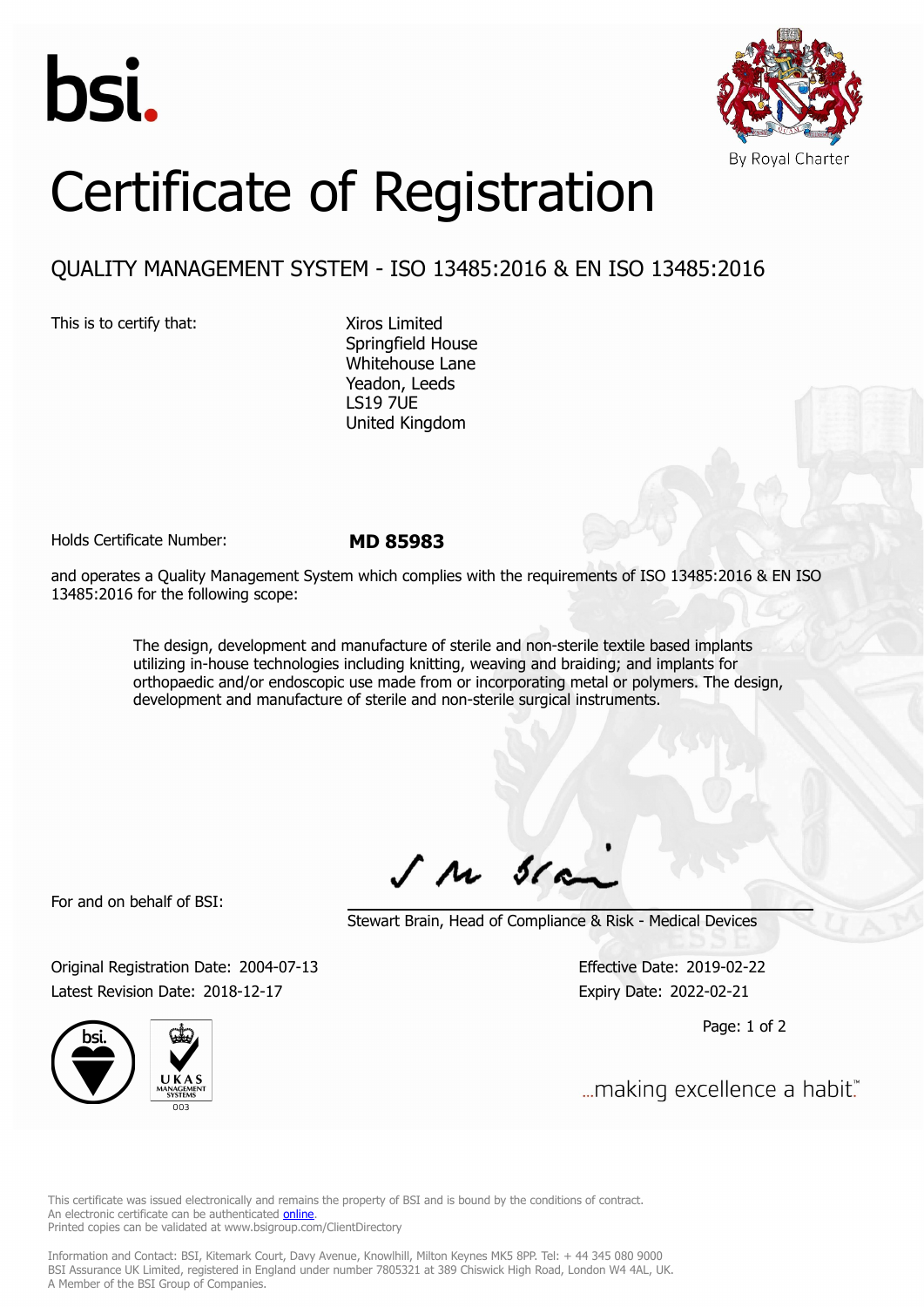



## Certificate of Registration

## QUALITY MANAGEMENT SYSTEM - ISO 13485:2016 & EN ISO 13485:2016

This is to certify that: Xiros Limited

Springfield House Whitehouse Lane Yeadon, Leeds LS19 7UE United Kingdom

Holds Certificate Number: **MD 85983**

and operates a Quality Management System which complies with the requirements of ISO 13485:2016 & EN ISO 13485:2016 for the following scope:

> The design, development and manufacture of sterile and non-sterile textile based implants utilizing in-house technologies including knitting, weaving and braiding; and implants for orthopaedic and/or endoscopic use made from or incorporating metal or polymers. The design, development and manufacture of sterile and non-sterile surgical instruments.

For and on behalf of BSI:

 $J$   $M$   $31$ 

Stewart Brain, Head of Compliance & Risk - Medical Devices

Original Registration Date: 2004-07-13 Effective Date: 2019-02-22 Latest Revision Date: 2018-12-17 Expiry Date: 2022-02-21

Page: 1 of 2



... making excellence a habit."

This certificate was issued electronically and remains the property of BSI and is bound by the conditions of contract. An electronic certificate can be authenticated **[online](https://pgplus.bsigroup.com/CertificateValidation/CertificateValidator.aspx?CertificateNumber=MD+85983&ReIssueDate=17%2f12%2f2018&Template=uk)**. Printed copies can be validated at www.bsigroup.com/ClientDirectory

Information and Contact: BSI, Kitemark Court, Davy Avenue, Knowlhill, Milton Keynes MK5 8PP. Tel: + 44 345 080 9000 BSI Assurance UK Limited, registered in England under number 7805321 at 389 Chiswick High Road, London W4 4AL, UK. A Member of the BSI Group of Companies.